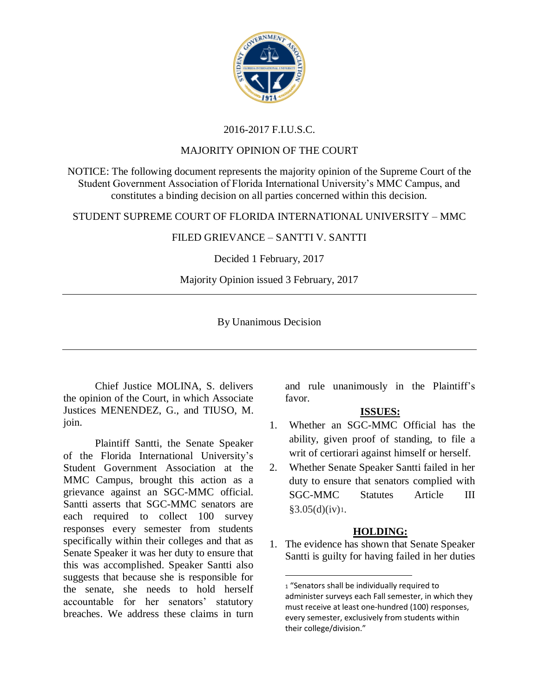

# 2016-2017 F.I.U.S.C.

#### MAJORITY OPINION OF THE COURT

NOTICE: The following document represents the majority opinion of the Supreme Court of the Student Government Association of Florida International University's MMC Campus, and constitutes a binding decision on all parties concerned within this decision.

#### STUDENT SUPREME COURT OF FLORIDA INTERNATIONAL UNIVERSITY – MMC

# FILED GRIEVANCE – SANTTI V. SANTTI

# Decided 1 February, 2017

# Majority Opinion issued 3 February, 2017

# By Unanimous Decision

 $\overline{\phantom{0}}$ 

Chief Justice MOLINA, S. delivers the opinion of the Court, in which Associate Justices MENENDEZ, G., and TIUSO, M. join.

Plaintiff Santti, the Senate Speaker of the Florida International University's Student Government Association at the MMC Campus, brought this action as a grievance against an SGC-MMC official. Santti asserts that SGC-MMC senators are each required to collect 100 survey responses every semester from students specifically within their colleges and that as Senate Speaker it was her duty to ensure that this was accomplished. Speaker Santti also suggests that because she is responsible for the senate, she needs to hold herself accountable for her senators' statutory breaches. We address these claims in turn and rule unanimously in the Plaintiff's favor.

# **ISSUES:**

- 1. Whether an SGC-MMC Official has the ability, given proof of standing, to file a writ of certiorari against himself or herself.
- 2. Whether Senate Speaker Santti failed in her duty to ensure that senators complied with SGC-MMC Statutes Article III  $§3.05(d)(iv)1.$

#### **HOLDING:**

1. The evidence has shown that Senate Speaker Santti is guilty for having failed in her duties

<sup>1 &</sup>quot;Senators shall be individually required to administer surveys each Fall semester, in which they must receive at least one-hundred (100) responses, every semester, exclusively from students within their college/division."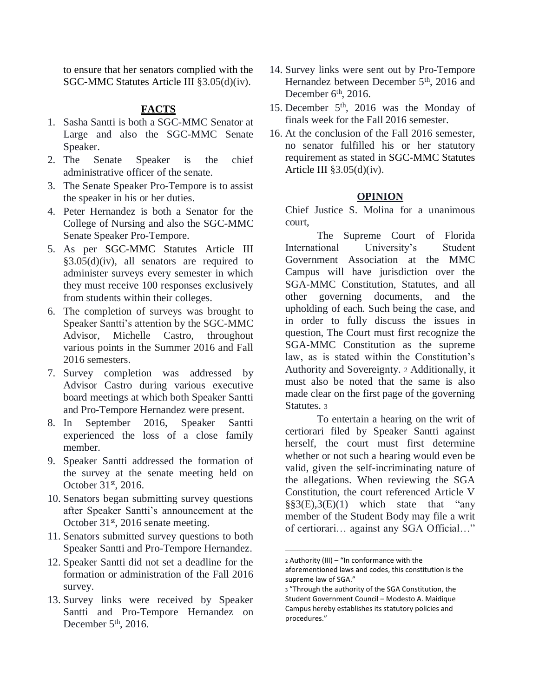to ensure that her senators complied with the SGC-MMC Statutes Article III §3.05(d)(iv).

#### **FACTS**

- 1. Sasha Santti is both a SGC-MMC Senator at Large and also the SGC-MMC Senate Speaker.
- 2. The Senate Speaker is the chief administrative officer of the senate.
- 3. The Senate Speaker Pro-Tempore is to assist the speaker in his or her duties.
- 4. Peter Hernandez is both a Senator for the College of Nursing and also the SGC-MMC Senate Speaker Pro-Tempore.
- 5. As per SGC-MMC Statutes Article III  $§3.05(d)(iv)$ , all senators are required to administer surveys every semester in which they must receive 100 responses exclusively from students within their colleges.
- 6. The completion of surveys was brought to Speaker Santti's attention by the SGC-MMC Advisor, Michelle Castro, throughout various points in the Summer 2016 and Fall 2016 semesters.
- 7. Survey completion was addressed by Advisor Castro during various executive board meetings at which both Speaker Santti and Pro-Tempore Hernandez were present.
- 8. In September 2016, Speaker Santti experienced the loss of a close family member.
- 9. Speaker Santti addressed the formation of the survey at the senate meeting held on October 31st, 2016.
- 10. Senators began submitting survey questions after Speaker Santti's announcement at the October  $31<sup>st</sup>$ , 2016 senate meeting.
- 11. Senators submitted survey questions to both Speaker Santti and Pro-Tempore Hernandez.
- 12. Speaker Santti did not set a deadline for the formation or administration of the Fall 2016 survey.
- 13. Survey links were received by Speaker Santti and Pro-Tempore Hernandez on December  $5<sup>th</sup>$ , 2016.
- 14. Survey links were sent out by Pro-Tempore Hernandez between December 5<sup>th</sup>, 2016 and December  $6<sup>th</sup>$ , 2016.
- 15. December 5<sup>th</sup>, 2016 was the Monday of finals week for the Fall 2016 semester.
- 16. At the conclusion of the Fall 2016 semester, no senator fulfilled his or her statutory requirement as stated in SGC-MMC Statutes Article III  $\S3.05(d)(iv)$ .

#### **OPINION**

Chief Justice S. Molina for a unanimous court,

The Supreme Court of Florida International University's Student Government Association at the MMC Campus will have jurisdiction over the SGA-MMC Constitution, Statutes, and all other governing documents, and the upholding of each. Such being the case, and in order to fully discuss the issues in question, The Court must first recognize the SGA-MMC Constitution as the supreme law, as is stated within the Constitution's Authority and Sovereignty. <sup>2</sup> Additionally, it must also be noted that the same is also made clear on the first page of the governing Statutes. <sup>3</sup>

To entertain a hearing on the writ of certiorari filed by Speaker Santti against herself, the court must first determine whether or not such a hearing would even be valid, given the self-incriminating nature of the allegations. When reviewing the SGA Constitution, the court referenced Article V  $\S$ §3(E),3(E)(1) which state that "any member of the Student Body may file a writ of certiorari… against any SGA Official…"

l

<sup>2</sup> Authority (III) – "In conformance with the aforementioned laws and codes, this constitution is the supreme law of SGA."

<sup>3</sup> "Through the authority of the SGA Constitution, the Student Government Council – Modesto A. Maidique Campus hereby establishes its statutory policies and procedures."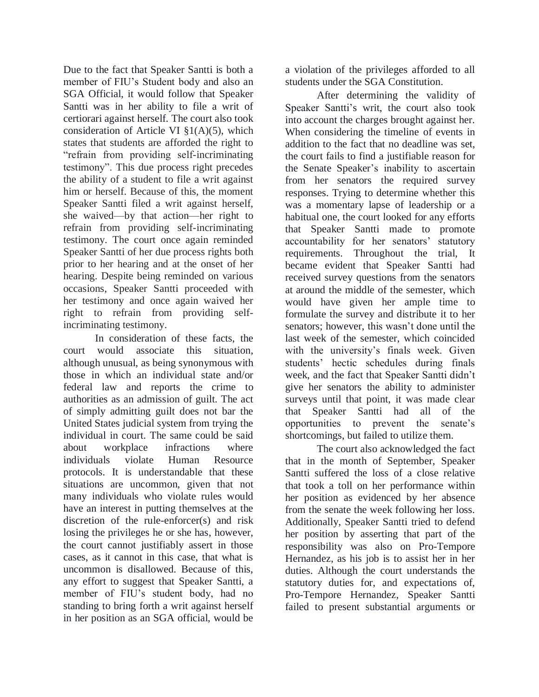Due to the fact that Speaker Santti is both a member of FIU's Student body and also an SGA Official, it would follow that Speaker Santti was in her ability to file a writ of certiorari against herself. The court also took consideration of Article VI §1(A)(5), which states that students are afforded the right to "refrain from providing self-incriminating testimony". This due process right precedes the ability of a student to file a writ against him or herself. Because of this, the moment Speaker Santti filed a writ against herself, she waived—by that action—her right to refrain from providing self-incriminating testimony. The court once again reminded Speaker Santti of her due process rights both prior to her hearing and at the onset of her hearing. Despite being reminded on various occasions, Speaker Santti proceeded with her testimony and once again waived her right to refrain from providing selfincriminating testimony.

In consideration of these facts, the court would associate this situation, although unusual, as being synonymous with those in which an individual state and/or federal law and reports the crime to authorities as an admission of guilt. The act of simply admitting guilt does not bar the United States judicial system from trying the individual in court. The same could be said about workplace infractions where individuals violate Human Resource protocols. It is understandable that these situations are uncommon, given that not many individuals who violate rules would have an interest in putting themselves at the discretion of the rule-enforcer(s) and risk losing the privileges he or she has, however, the court cannot justifiably assert in those cases, as it cannot in this case, that what is uncommon is disallowed. Because of this, any effort to suggest that Speaker Santti, a member of FIU's student body, had no standing to bring forth a writ against herself in her position as an SGA official, would be

a violation of the privileges afforded to all students under the SGA Constitution.

After determining the validity of Speaker Santti's writ, the court also took into account the charges brought against her. When considering the timeline of events in addition to the fact that no deadline was set, the court fails to find a justifiable reason for the Senate Speaker's inability to ascertain from her senators the required survey responses. Trying to determine whether this was a momentary lapse of leadership or a habitual one, the court looked for any efforts that Speaker Santti made to promote accountability for her senators' statutory requirements. Throughout the trial, It became evident that Speaker Santti had received survey questions from the senators at around the middle of the semester, which would have given her ample time to formulate the survey and distribute it to her senators; however, this wasn't done until the last week of the semester, which coincided with the university's finals week. Given students' hectic schedules during finals week, and the fact that Speaker Santti didn't give her senators the ability to administer surveys until that point, it was made clear that Speaker Santti had all of the opportunities to prevent the senate's shortcomings, but failed to utilize them.

The court also acknowledged the fact that in the month of September, Speaker Santti suffered the loss of a close relative that took a toll on her performance within her position as evidenced by her absence from the senate the week following her loss. Additionally, Speaker Santti tried to defend her position by asserting that part of the responsibility was also on Pro-Tempore Hernandez, as his job is to assist her in her duties. Although the court understands the statutory duties for, and expectations of, Pro-Tempore Hernandez, Speaker Santti failed to present substantial arguments or